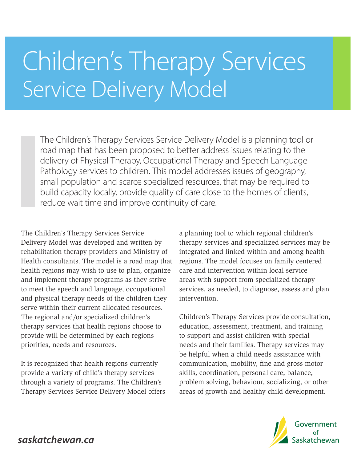# Children's Therapy Services Service Delivery Model

The Children's Therapy Services Service Delivery Model is a planning tool or road map that has been proposed to better address issues relating to the delivery of Physical Therapy, Occupational Therapy and Speech Language Pathology services to children. This model addresses issues of geography, small population and scarce specialized resources, that may be required to build capacity locally, provide quality of care close to the homes of clients, reduce wait time and improve continuity of care.

The Children's Therapy Services Service Delivery Model was developed and written by rehabilitation therapy providers and Ministry of Health consultants. The model is a road map that health regions may wish to use to plan, organize and implement therapy programs as they strive to meet the speech and language, occupational and physical therapy needs of the children they serve within their current allocated resources. The regional and/or specialized children's therapy services that health regions choose to provide will be determined by each regions priorities, needs and resources.

It is recognized that health regions currently provide a variety of child's therapy services through a variety of programs. The Children's Therapy Services Service Delivery Model offers

a planning tool to which regional children's therapy services and specialized services may be integrated and linked within and among health regions. The model focuses on family centered care and intervention within local service areas with support from specialized therapy services, as needed, to diagnose, assess and plan intervention.

Children's Therapy Services provide consultation, education, assessment, treatment, and training to support and assist children with special needs and their families. Therapy services may be helpful when a child needs assistance with communication, mobility, fine and gross motor skills, coordination, personal care, balance, problem solving, behaviour, socializing, or other areas of growth and healthy child development.



saskatchewan.ca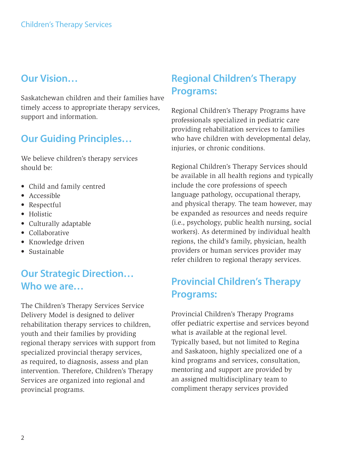## **Our Vision…**

Saskatchewan children and their families have timely access to appropriate therapy services, support and information.

# **Our Guiding Principles…**

We believe children's therapy services should be:

- Child and family centred
- Accessible
- Respectful
- Holistic
- Culturally adaptable
- Collaborative
- Knowledge driven
- Sustainable

# **Our Strategic Direction… Who we are…**

The Children's Therapy Services Service Delivery Model is designed to deliver rehabilitation therapy services to children, youth and their families by providing regional therapy services with support from specialized provincial therapy services, as required, to diagnosis, assess and plan intervention. Therefore, Children's Therapy Services are organized into regional and provincial programs.

# **Regional Children's Therapy Programs:**

Regional Children's Therapy Programs have professionals specialized in pediatric care providing rehabilitation services to families who have children with developmental delay, injuries, or chronic conditions.

Regional Children's Therapy Services should be available in all health regions and typically include the core professions of speech language pathology, occupational therapy, and physical therapy. The team however, may be expanded as resources and needs require (i.e., psychology, public health nursing, social workers). As determined by individual health regions, the child's family, physician, health providers or human services provider may refer children to regional therapy services.

# **Provincial Children's Therapy Programs:**

Provincial Children's Therapy Programs offer pediatric expertise and services beyond what is available at the regional level. Typically based, but not limited to Regina and Saskatoon, highly specialized one of a kind programs and services, consultation, mentoring and support are provided by an assigned multidisciplinary team to compliment therapy services provided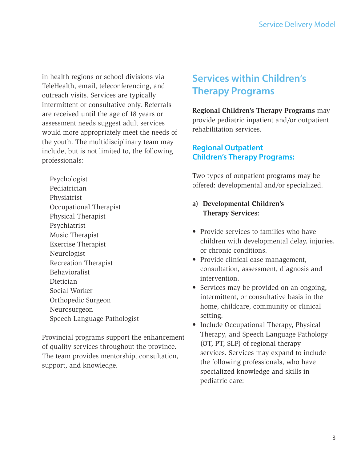in health regions or school divisions via TeleHealth, email, teleconferencing, and outreach visits. Services are typically intermittent or consultative only. Referrals are received until the age of 18 years or assessment needs suggest adult services would more appropriately meet the needs of the youth. The multidisciplinary team may include, but is not limited to, the following professionals:

Psychologist Pediatrician Physiatrist Occupational Therapist Physical Therapist Psychiatrist Music Therapist Exercise Therapist Neurologist Recreation Therapist Behavioralist Dietician Social Worker Orthopedic Surgeon Neurosurgeon Speech Language Pathologist

Provincial programs support the enhancement of quality services throughout the province. The team provides mentorship, consultation, support, and knowledge.

# **Services within Children's Therapy Programs**

**Regional Children's Therapy Programs** may provide pediatric inpatient and/or outpatient rehabilitation services.

## **Regional Outpatient Children's Therapy Programs:**

Two types of outpatient programs may be offered: developmental and/or specialized.

- **a) Developmental Children's Therapy Services:**
- Provide services to families who have children with developmental delay, injuries, or chronic conditions.
- Provide clinical case management, consultation, assessment, diagnosis and intervention.
- Services may be provided on an ongoing, intermittent, or consultative basis in the home, childcare, community or clinical setting.
- Include Occupational Therapy, Physical Therapy, and Speech Language Pathology (OT, PT, SLP) of regional therapy services. Services may expand to include the following professionals, who have specialized knowledge and skills in pediatric care: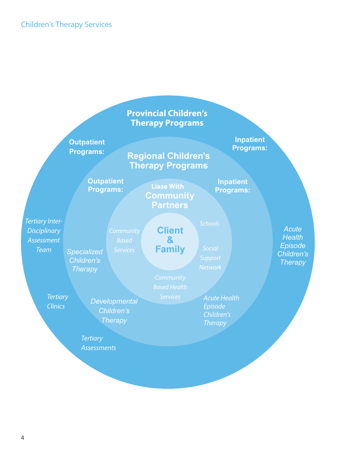### Children's Therapy Services

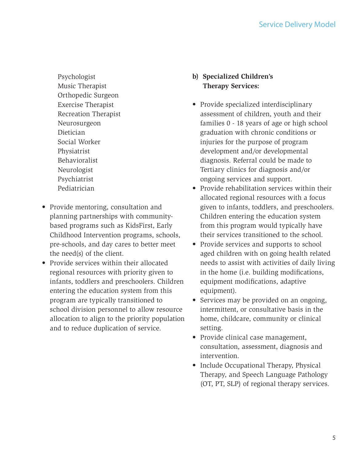Psychologist Music Therapist Orthopedic Surgeon Exercise Therapist Recreation Therapist Neurosurgeon Dietician Social Worker Physiatrist Behavioralist Neurologist Psychiatrist Pediatrician

- Provide mentoring, consultation and planning partnerships with communitybased programs such as KidsFirst, Early Childhood Intervention programs, schools, pre-schools, and day cares to better meet the need(s) of the client.
- Provide services within their allocated regional resources with priority given to infants, toddlers and preschoolers. Children entering the education system from this program are typically transitioned to school division personnel to allow resource allocation to align to the priority population and to reduce duplication of service.
- **b) Specialized Children's Therapy Services:**
- Provide specialized interdisciplinary assessment of children, youth and their families 0 - 18 years of age or high school graduation with chronic conditions or injuries for the purpose of program development and/or developmental diagnosis. Referral could be made to Tertiary clinics for diagnosis and/or ongoing services and support.
- Provide rehabilitation services within their allocated regional resources with a focus given to infants, toddlers, and preschoolers. Children entering the education system from this program would typically have their services transitioned to the school.
- Provide services and supports to school aged children with on going health related needs to assist with activities of daily living in the home (i.e. building modifications, equipment modifications, adaptive equipment).
- Services may be provided on an ongoing, intermittent, or consultative basis in the home, childcare, community or clinical setting.
- Provide clinical case management, consultation, assessment, diagnosis and intervention.
- Include Occupational Therapy, Physical Therapy, and Speech Language Pathology (OT, PT, SLP) of regional therapy services.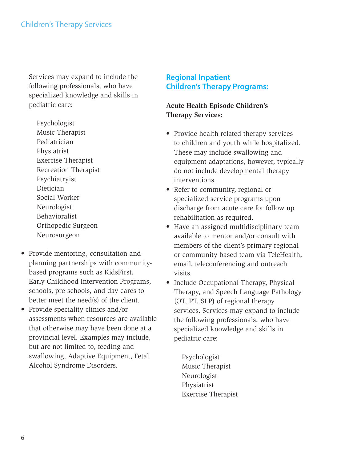Services may expand to include the following professionals, who have specialized knowledge and skills in pediatric care:

Psychologist Music Therapist Pediatrician Physiatrist Exercise Therapist Recreation Therapist Psychiatryist Dietician Social Worker Neurologist Behavioralist Orthopedic Surgeon Neurosurgeon

- Provide mentoring, consultation and planning partnerships with communitybased programs such as KidsFirst, Early Childhood Intervention Programs, schools, pre-schools, and day cares to better meet the need(s) of the client.
- Provide speciality clinics and/or assessments when resources are available that otherwise may have been done at a provincial level. Examples may include, but are not limited to, feeding and swallowing, Adaptive Equipment, Fetal Alcohol Syndrome Disorders.

#### **Regional Inpatient Children's Therapy Programs:**

#### **Acute Health Episode Children's Therapy Services:**

- Provide health related therapy services to children and youth while hospitalized. These may include swallowing and equipment adaptations, however, typically do not include developmental therapy interventions.
- Refer to community, regional or specialized service programs upon discharge from acute care for follow up rehabilitation as required.
- Have an assigned multidisciplinary team available to mentor and/or consult with members of the client's primary regional or community based team via TeleHealth, email, teleconferencing and outreach visits.
- Include Occupational Therapy, Physical Therapy, and Speech Language Pathology (OT, PT, SLP) of regional therapy services. Services may expand to include the following professionals, who have specialized knowledge and skills in pediatric care:
	- Psychologist Music Therapist Neurologist Physiatrist Exercise Therapist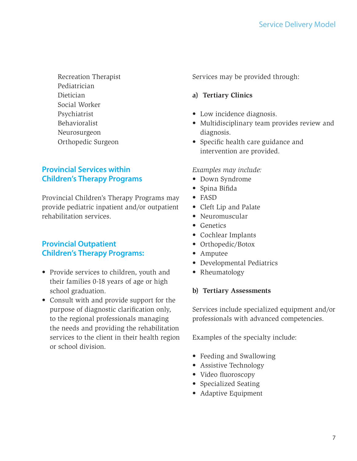Recreation Therapist Pediatrician Dietician Social Worker Psychiatrist Behavioralist Neurosurgeon Orthopedic Surgeon

## **Provincial Services within Children's Therapy Programs**

Provincial Children's Therapy Programs may provide pediatric inpatient and/or outpatient rehabilitation services.

## **Provincial Outpatient Children's Therapy Programs:**

- Provide services to children, youth and their families 0-18 years of age or high school graduation.
- Consult with and provide support for the purpose of diagnostic clarification only, to the regional professionals managing the needs and providing the rehabilitation services to the client in their health region or school division.

Services may be provided through:

#### **a) Tertiary Clinics**

- Low incidence diagnosis.
- Multidisciplinary team provides review and diagnosis.
- Specific health care guidance and intervention are provided.

#### *Examples may include:*

- Down Syndrome
- Spina Bifida
- FASD
- Cleft Lip and Palate
- Neuromuscular
- Genetics
- Cochlear Implants
- Orthopedic/Botox
- Amputee
- Developmental Pediatrics
- Rheumatology

#### **b) Tertiary Assessments**

Services include specialized equipment and/or professionals with advanced competencies.

Examples of the specialty include:

- Feeding and Swallowing
- Assistive Technology
- Video fluoroscopy
- Specialized Seating
- Adaptive Equipment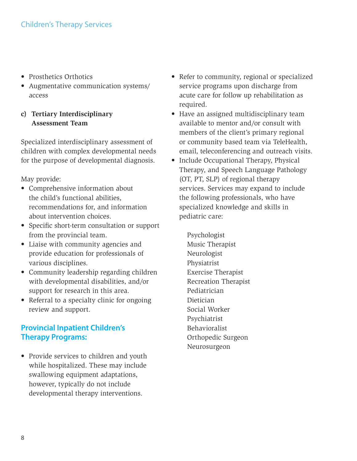- Prosthetics Orthotics
- Augmentative communication systems/ access
- **c) Tertiary Interdisciplinary Assessment Team**

Specialized interdisciplinary assessment of children with complex developmental needs for the purpose of developmental diagnosis.

May provide:

- Comprehensive information about the child's functional abilities, recommendations for, and information about intervention choices.
- Specific short-term consultation or support from the provincial team.
- Liaise with community agencies and provide education for professionals of various disciplines.
- Community leadership regarding children with developmental disabilities, and/or support for research in this area.
- Referral to a specialty clinic for ongoing review and support.

## **Provincial Inpatient Children's Therapy Programs:**

• Provide services to children and youth while hospitalized. These may include swallowing equipment adaptations, however, typically do not include developmental therapy interventions.

- Refer to community, regional or specialized service programs upon discharge from acute care for follow up rehabilitation as required.
- Have an assigned multidisciplinary team available to mentor and/or consult with members of the client's primary regional or community based team via TeleHealth, email, teleconferencing and outreach visits.
- Include Occupational Therapy, Physical Therapy, and Speech Language Pathology (OT, PT, SLP) of regional therapy services. Services may expand to include the following professionals, who have specialized knowledge and skills in pediatric care:

Psychologist Music Therapist Neurologist Physiatrist Exercise Therapist Recreation Therapist Pediatrician Dietician Social Worker Psychiatrist Behavioralist Orthopedic Surgeon Neurosurgeon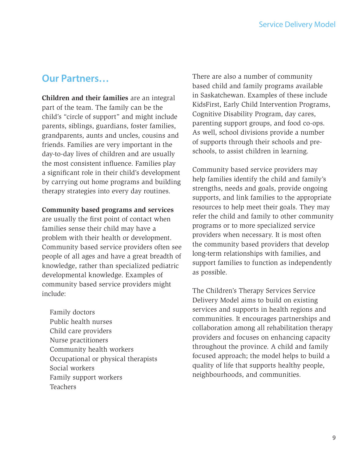## **Our Partners…**

**Children and their families** are an integral part of the team. The family can be the child's "circle of support" and might include parents, siblings, guardians, foster families, grandparents, aunts and uncles, cousins and friends. Families are very important in the day-to-day lives of children and are usually the most consistent influence. Families play a significant role in their child's development by carrying out home programs and building therapy strategies into every day routines.

#### **Community based programs and services**

are usually the first point of contact when families sense their child may have a problem with their health or development. Community based service providers often see people of all ages and have a great breadth of knowledge, rather than specialized pediatric developmental knowledge. Examples of community based service providers might include:

Family doctors Public health nurses Child care providers Nurse practitioners Community health workers Occupational or physical therapists Social workers Family support workers Teachers

There are also a number of community based child and family programs available in Saskatchewan. Examples of these include KidsFirst, Early Child Intervention Programs, Cognitive Disability Program, day cares, parenting support groups, and food co-ops. As well, school divisions provide a number of supports through their schools and preschools, to assist children in learning.

Community based service providers may help families identify the child and family's strengths, needs and goals, provide ongoing supports, and link families to the appropriate resources to help meet their goals. They may refer the child and family to other community programs or to more specialized service providers when necessary. It is most often the community based providers that develop long-term relationships with families, and support families to function as independently as possible.

The Children's Therapy Services Service Delivery Model aims to build on existing services and supports in health regions and communities. It encourages partnerships and collaboration among all rehabilitation therapy providers and focuses on enhancing capacity throughout the province. A child and family focused approach; the model helps to build a quality of life that supports healthy people, neighbourhoods, and communities.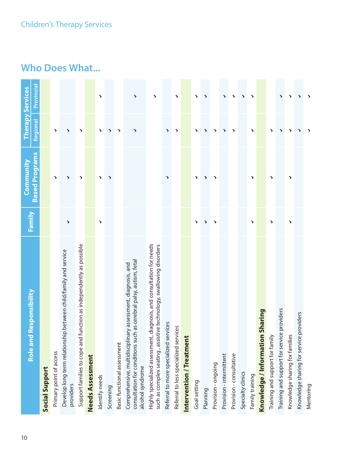## Children's Therapy Services

| Role and Responsibility                                                                                                                              | Family                | <b>Based Programs</b><br><b>Community</b> | Regional              | Provincial<br><b>Therapy Services</b> |
|------------------------------------------------------------------------------------------------------------------------------------------------------|-----------------------|-------------------------------------------|-----------------------|---------------------------------------|
| Social Support                                                                                                                                       |                       |                                           |                       |                                       |
| Primary point of access                                                                                                                              |                       | $\blacktriangleright$                     | >                     |                                       |
| Develop long term relationship between child/family and service<br>providers                                                                         | $\blacktriangleright$ | ↘                                         | ↘                     |                                       |
| nd function as independently as possible<br>Support families to cope a                                                                               |                       | $\blacktriangleright$                     | >                     |                                       |
| Needs Assessment                                                                                                                                     |                       |                                           |                       |                                       |
| Identify needs                                                                                                                                       | $\blacktriangleright$ | >                                         | >                     | >                                     |
| Screening                                                                                                                                            |                       | $\blacktriangleright$                     | ↘                     |                                       |
| Basic functional assessment                                                                                                                          |                       |                                           | $\blacktriangleright$ |                                       |
| consultation for conditions such as cerebral palsy, autism, fetal<br>Comprehensive, multidisciplinary assessment, diagnosis, and<br>alcohol syndrome |                       |                                           | $\blacktriangleright$ | $\blacktriangleright$                 |
| Highly specialized assessment, diagnosis, and consultation for needs<br>such as complex seating, assistive technology, swallowing disorders          |                       |                                           |                       | >                                     |
| services<br>Referral to more specialized                                                                                                             |                       | $\blacktriangleright$                     | >                     |                                       |
| Referral to less specialized services                                                                                                                |                       |                                           | >                     | >                                     |
| Intervention / Treatment                                                                                                                             |                       |                                           |                       |                                       |
| Goal setting                                                                                                                                         | >                     | >                                         | >                     | >                                     |
| Planning                                                                                                                                             | >                     | $\blacktriangleright$                     | >                     | $\blacktriangleright$                 |
| Provision - ongoing                                                                                                                                  | ↘                     | $\blacktriangleright$                     | >                     |                                       |
| Provision - intermittent                                                                                                                             |                       |                                           | ゝ                     | $\blacktriangleright$                 |
| Provision - consultative                                                                                                                             |                       |                                           | ゝ                     | >                                     |
| Specialty clinics                                                                                                                                    |                       |                                           |                       | $\blacktriangleright$                 |
| Family training                                                                                                                                      | >                     | >                                         | >                     | $\blacktriangleright$                 |
| Knowledge / Information Sharing                                                                                                                      |                       |                                           |                       |                                       |
| Training and support for family                                                                                                                      | >                     | >                                         | >                     |                                       |
| Training and support for service providers                                                                                                           |                       |                                           | ゝ                     | >                                     |
| Knowledge sharing for families                                                                                                                       | $\blacktriangleright$ | $\blacktriangleright$                     | >                     | >                                     |
| Knowledge sharing for service providers                                                                                                              |                       |                                           | ١                     | >                                     |
| Mentoring                                                                                                                                            |                       |                                           |                       | >                                     |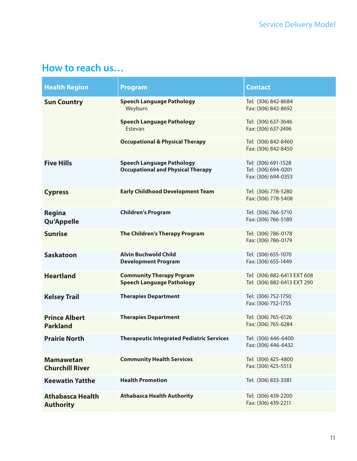# **How to reach us…**

| <b>Health Region</b>                        | <b>Program</b>                                                               | <b>Contact</b>                                                    |
|---------------------------------------------|------------------------------------------------------------------------------|-------------------------------------------------------------------|
| <b>Sun Country</b>                          | <b>Speech Language Pathology</b><br>Weyburn                                  | Tel: (306) 842-8684<br>Fax: (306) 842-8692                        |
|                                             | <b>Speech Language Pathology</b><br>Estevan                                  | Tel: (306) 637-3646<br>Fax: (306) 637-2496                        |
|                                             | <b>Occupational &amp; Physical Therapy</b>                                   | Tel: (306) 842-8460<br>Fax: (306) 842-8450                        |
| <b>Five Hills</b>                           | <b>Speech Language Pathology</b><br><b>Occupational and Physical Therapy</b> | Tel: (306) 691-1528<br>Tel: (306) 694-0201<br>Fax: (306) 694-0353 |
| <b>Cypress</b>                              | <b>Early Childhood Development Team</b>                                      | Tel: (306) 778-5280<br>Fax: (306) 778-5408                        |
| <b>Regina</b><br><b>Qu'Appelle</b>          | <b>Children's Program</b>                                                    | Tel: (306) 766-5710<br>Fax: (306) 766-5189                        |
| <b>Sunrise</b>                              | The Children's Therapy Program                                               | Tel: (306) 786-0178<br>Fax: (306) 786-0179                        |
| <b>Saskatoon</b>                            | <b>Alvin Buchwold Child</b><br><b>Development Program</b>                    | Tel: (306) 655-1070<br>Fax: (306) 655-1449                        |
| <b>Heartland</b>                            | <b>Community Therapy Prgram</b><br><b>Speech Language Pathology</b>          | Tel: (306) 882-6413 EXT 608<br>Tel: (306) 882-6413 EXT 290        |
| <b>Kelsey Trail</b>                         | <b>Therapies Department</b>                                                  | Tel: (306) 752-1750<br>Fax: (306) 752-1755                        |
| <b>Prince Albert</b><br><b>Parkland</b>     | <b>Therapies Department</b>                                                  | Tel: (306) 765-6126<br>Fax: (306) 765-6284                        |
| <b>Prairie North</b>                        | <b>Therapeutic Integrated Pediatric Services</b>                             | Tel: (306) 446-6400<br>Fax: (306) 446-6432                        |
| <b>Mamawetan</b><br><b>Churchill River</b>  | <b>Community Health Services</b>                                             | Tel: (306) 425-4800<br>Fax: (306) 425-5513                        |
| <b>Keewatin Yatthe</b>                      | <b>Health Promotion</b>                                                      | Tel: (306) 833-3381                                               |
| <b>Athabasca Health</b><br><b>Authority</b> | <b>Athabasca Health Authority</b>                                            | Tel: (306) 439-2200<br>Fax: (306) 439-2211                        |